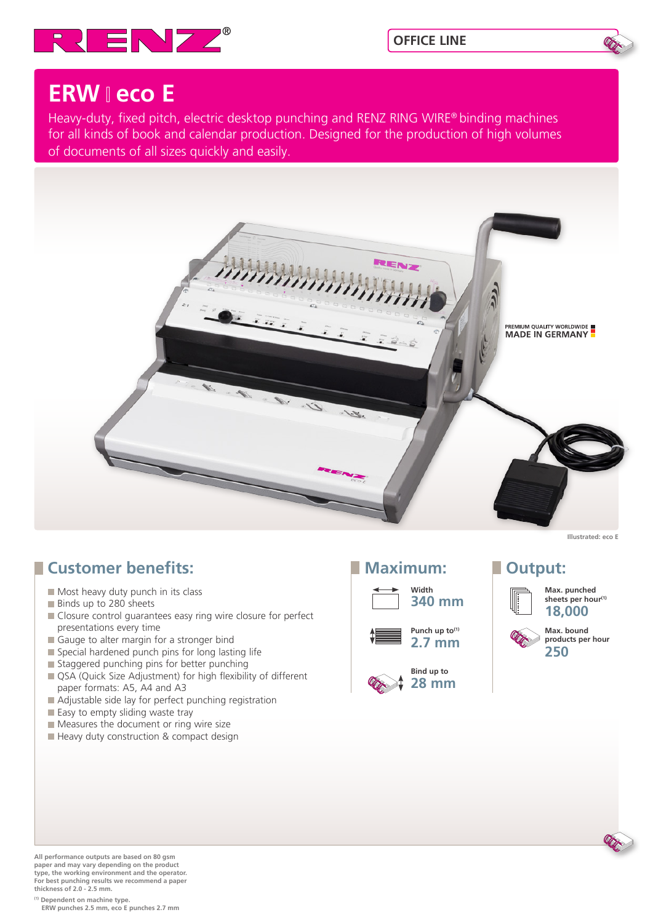



## **ERW eco E**

Heavy-duty, fixed pitch, electric desktop punching and RENZ RING WIRE® binding machines for all kinds of book and calendar production. Designed for the production of high volumes of documents of all sizes quickly and easily.



## **Customer benefits:**

- Most heavy duty punch in its class
- Binds up to 280 sheets
- Closure control guarantees easy ring wire closure for perfect presentations every time
- Gauge to alter margin for a stronger bind
- $\blacksquare$  Special hardened punch pins for long lasting life
- Staggered punching pins for better punching
- QSA (Quick Size Adjustment) for high flexibility of different paper formats: A5, A4 and A3
- Adjustable side lay for perfect punching registration
- Easy to empty sliding waste tray
- Measures the document or ring wire size
- Heavy duty construction & compact design







**Illustrated: eco E**

## **Maximum:** Dutput:



**Max. punched**  sheets per hour<sup>(1)</sup> **18,000**

**Max. bound products per hour 250**

**All performance outputs are based on 80 gsm paper and may vary depending on the product type, the working environment and the operator. For best punching results we recommend a paper thickness of 2.0 - 2.5 mm.**

**(1) Dependent on machine type. ERW punches 2.5 mm, eco E punches 2.7 mm**